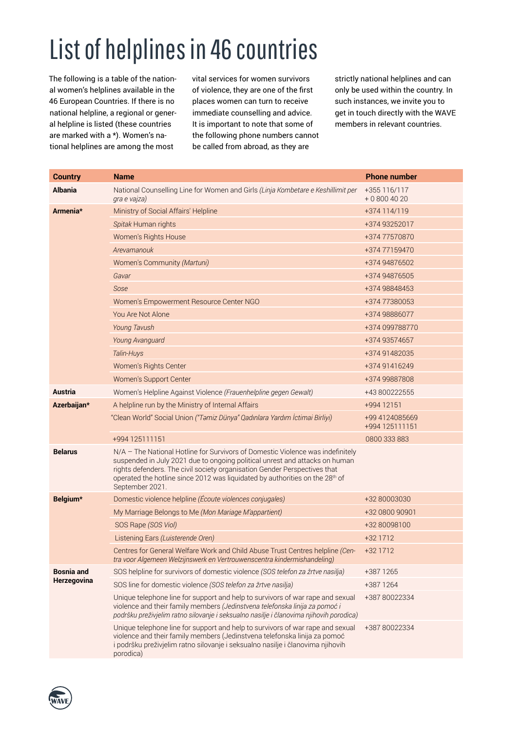## List of helplines in 46 countries

The following is a table of the national women's helplines available in the 46 European Countries. If there is no national helpline, a regional or general helpline is listed (these countries are marked with a \*). Women's national helplines are among the most

vital services for women survivors of violence, they are one of the first places women can turn to receive immediate counselling and advice. It is important to note that some of the following phone numbers cannot be called from abroad, as they are

strictly national helplines and can only be used within the country. In such instances, we invite you to get in touch directly with the WAVE members in relevant countries.

| <b>Country</b>    | <b>Name</b>                                                                                                                                                                                                                                                                                                                                   | <b>Phone number</b>              |
|-------------------|-----------------------------------------------------------------------------------------------------------------------------------------------------------------------------------------------------------------------------------------------------------------------------------------------------------------------------------------------|----------------------------------|
| <b>Albania</b>    | National Counselling Line for Women and Girls (Linja Kombetare e Keshillimit per<br>gra e vajza)                                                                                                                                                                                                                                              | +355 116/117<br>$+08004020$      |
| Armenia*          | Ministry of Social Affairs' Helpline                                                                                                                                                                                                                                                                                                          | +374 114/119                     |
|                   | Spitak Human rights                                                                                                                                                                                                                                                                                                                           | +374 93252017                    |
|                   | Women's Rights House                                                                                                                                                                                                                                                                                                                          | +374 77570870                    |
|                   | Arevamanouk                                                                                                                                                                                                                                                                                                                                   | +374 771 59470                   |
|                   | Women's Community (Martuni)                                                                                                                                                                                                                                                                                                                   | +374 94876502                    |
|                   | Gavar                                                                                                                                                                                                                                                                                                                                         | +374 94876505                    |
|                   | Sose                                                                                                                                                                                                                                                                                                                                          | +374 98848453                    |
|                   | Women's Empowerment Resource Center NGO                                                                                                                                                                                                                                                                                                       | +374 77380053                    |
|                   | You Are Not Alone                                                                                                                                                                                                                                                                                                                             | +374 98886077                    |
|                   | Young Tavush                                                                                                                                                                                                                                                                                                                                  | +374 099788770                   |
|                   | Young Avanguard                                                                                                                                                                                                                                                                                                                               | +374 93574657                    |
|                   | Talin-Huys                                                                                                                                                                                                                                                                                                                                    | +374 91482035                    |
|                   | Women's Rights Center                                                                                                                                                                                                                                                                                                                         | +374 91416249                    |
|                   | Women's Support Center                                                                                                                                                                                                                                                                                                                        | +374 99887808                    |
| <b>Austria</b>    | Women's Helpline Against Violence (Frauenhelpline gegen Gewalt)                                                                                                                                                                                                                                                                               | +43 800222555                    |
| Azerbaijan*       | A helpline run by the Ministry of Internal Affairs                                                                                                                                                                                                                                                                                            | +994 12151                       |
|                   | "Clean World" Social Union ("Tamiz Dünya" Qadınlara Yardım İctimai Birliyi)                                                                                                                                                                                                                                                                   | +99 4124085669<br>+994 125111151 |
|                   | +994 125111151                                                                                                                                                                                                                                                                                                                                | 0800 333 883                     |
| <b>Belarus</b>    | N/A - The National Hotline for Survivors of Domestic Violence was indefinitely<br>suspended in July 2021 due to ongoing political unrest and attacks on human<br>rights defenders. The civil society organisation Gender Perspectives that<br>operated the hotline since 2012 was liquidated by authorities on the 28th of<br>September 2021. |                                  |
| Belgium*          | Domestic violence helpline (Écoute violences conjugales)                                                                                                                                                                                                                                                                                      | +32 80003030                     |
|                   | My Marriage Belongs to Me (Mon Mariage M'appartient)                                                                                                                                                                                                                                                                                          | +32 0800 90901                   |
|                   | SOS Rape (SOS Viol)                                                                                                                                                                                                                                                                                                                           | +32 80098100                     |
|                   | Listening Ears (Luisterende Oren)                                                                                                                                                                                                                                                                                                             | +32 1712                         |
|                   | Centres for General Welfare Work and Child Abuse Trust Centres helpline (Cen-<br>tra voor Algemeen Welzijnswerk en Vertrouwenscentra kindermishandeling)                                                                                                                                                                                      | +32 1712                         |
| <b>Bosnia</b> and | SOS helpline for survivors of domestic violence (SOS telefon za žrtve nasilja)                                                                                                                                                                                                                                                                | +387 1265                        |
| Herzegovina       | SOS line for domestic violence (SOS telefon za žrtve nasilja)                                                                                                                                                                                                                                                                                 | +387 1264                        |
|                   | Unique telephone line for support and help to survivors of war rape and sexual<br>violence and their family members (Jedinstvena telefonska linija za pomoć i<br>podršku preživjelim ratno silovanje i seksualno nasilje i članovima njihovih porodica)                                                                                       | +387 80022334                    |
|                   | Unique telephone line for support and help to survivors of war rape and sexual<br>violence and their family members (Jedinstvena telefonska linija za pomoć<br>i podršku preživjelim ratno silovanje i seksualno nasilje i članovima njihovih<br>porodica)                                                                                    | +387 80022334                    |

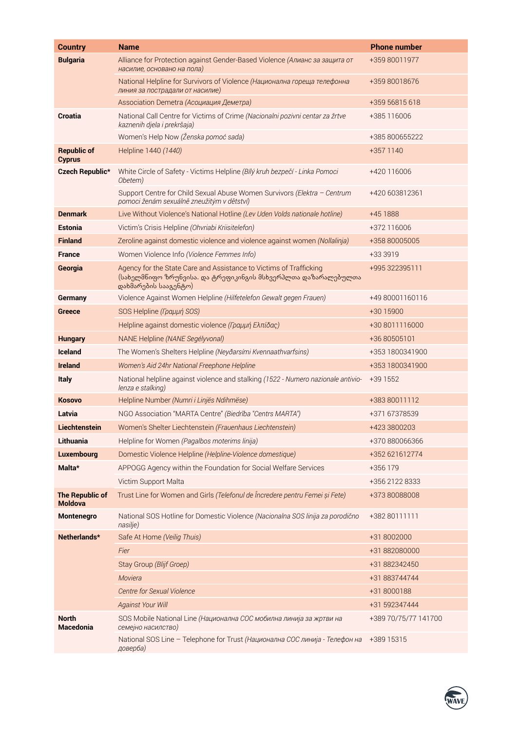| <b>Country</b>                           | <b>Name</b>                                                                                                                                                 | <b>Phone number</b>  |
|------------------------------------------|-------------------------------------------------------------------------------------------------------------------------------------------------------------|----------------------|
| <b>Bulgaria</b>                          | Alliance for Protection against Gender-Based Violence (Алианс за защита от<br>насилие, основано на пола)                                                    | +359 80011977        |
|                                          | National Helpline for Survivors of Violence (Национална гореща телефонна<br>линия за пострадали от насилие)                                                 | +359 80018676        |
|                                          | Association Demetra (Асоциация Деметра)                                                                                                                     | +359 56815 618       |
| Croatia                                  | National Call Centre for Victims of Crime (Nacionalni pozivni centar za žrtve<br>kaznenih djela i prekršaja)                                                | +385 116006          |
|                                          | Women's Help Now (Ženska pomoć sada)                                                                                                                        | +385 800655222       |
| <b>Republic of</b><br><b>Cyprus</b>      | Helpline 1440 (1440)                                                                                                                                        | +357 1140            |
| <b>Czech Republic*</b>                   | White Circle of Safety - Victims Helpline (Bílý kruh bezpečí - Linka Pomoci<br>Obetem)                                                                      | +420 116006          |
|                                          | Support Centre for Child Sexual Abuse Women Survivors (Elektra - Centrum<br>pomoci ženám sexuálně zneužitým v dětství)                                      | +420 603812361       |
| <b>Denmark</b>                           | Live Without Violence's National Hotline (Lev Uden Volds nationale hotline)                                                                                 | +45 1888             |
| <b>Estonia</b>                           | Victim's Crisis Helpline (Ohvriabi Kriisitelefon)                                                                                                           | +372 116006          |
| <b>Finland</b>                           | Zeroline against domestic violence and violence against women (Nollalinja)                                                                                  | +358 80005005        |
| <b>France</b>                            | Women Violence Info (Violence Femmes Info)                                                                                                                  | +33 3919             |
| Georgia                                  | Agency for the State Care and Assistance to Victims of Trafficking<br>(სახელმნიფო ზრუნვისა. და ტრეფიკინგის მსხვერპლთა დაზარალებულთა<br>დახმარების სააგენტო) | +995 322395111       |
| Germany                                  | Violence Against Women Helpline (Hilfetelefon Gewalt gegen Frauen)                                                                                          | +49 80001160116      |
| <b>Greece</b>                            | SOS Helpline (Γραμμή SOS)                                                                                                                                   | +30 15900            |
|                                          | Helpline against domestic violence (Γραμμή Ελπίδας)                                                                                                         | +30 8011116000       |
| <b>Hungary</b>                           | NANE Helpline (NANE Segélyvonal)                                                                                                                            | +36 80505101         |
| <b>Iceland</b>                           | The Women's Shelters Helpline (Neyðarsími Kvennaathvarfsins)                                                                                                | +353 1800341900      |
| <b>Ireland</b>                           | Women's Aid 24hr National Freephone Helpline                                                                                                                | +353 1800341900      |
| <b>Italy</b>                             | National helpline against violence and stalking (1522 - Numero nazionale antivio-<br>lenza e stalking)                                                      | +39 1552             |
| <b>Kosovo</b>                            | Helpline Number (Numri i Linjës Ndihmëse)                                                                                                                   | +383 80011112        |
| Latvia                                   | NGO Association "MARTA Centre" (Biedrība "Centrs MARTA")                                                                                                    | +371 67378539        |
| Liechtenstein                            | Women's Shelter Liechtenstein (Frauenhaus Liechtenstein)                                                                                                    | +423 3800203         |
| Lithuania                                | Helpline for Women (Pagalbos moterims linija)                                                                                                               | +370 880066366       |
| Luxembourg                               | Domestic Violence Helpline (Helpline-Violence domestique)                                                                                                   | +352 621612774       |
| Malta*                                   | APPOGG Agency within the Foundation for Social Welfare Services                                                                                             | +356 179             |
|                                          | Victim Support Malta                                                                                                                                        | +356 2122 8333       |
| <b>The Republic of</b><br><b>Moldova</b> | Trust Line for Women and Girls (Telefonul de Încredere pentru Femei și Fete)                                                                                | +373 80088008        |
| Montenegro                               | National SOS Hotline for Domestic Violence (Nacionalna SOS linija za porodično<br>nasilje)                                                                  | +382 80111111        |
| Netherlands*                             | Safe At Home (Veilig Thuis)                                                                                                                                 | +31 8002000          |
|                                          | Fier                                                                                                                                                        | +31 882080000        |
|                                          | Stay Group (Blijf Groep)                                                                                                                                    | +31 882342450        |
|                                          | Moviera                                                                                                                                                     | +31 883744744        |
|                                          | <b>Centre for Sexual Violence</b>                                                                                                                           | +31 8000188          |
|                                          | <b>Against Your Will</b>                                                                                                                                    | +31 592347444        |
| <b>North</b><br>Macedonia                | SOS Mobile National Line (Национална СОС мобилна линија за жртви на<br>семејно насилство)                                                                   | +389 70/75/77 141700 |
|                                          | National SOS Line - Telephone for Trust (Национална СОС линија - Телефон на<br>доверба)                                                                     | +389 15315           |

WAVE